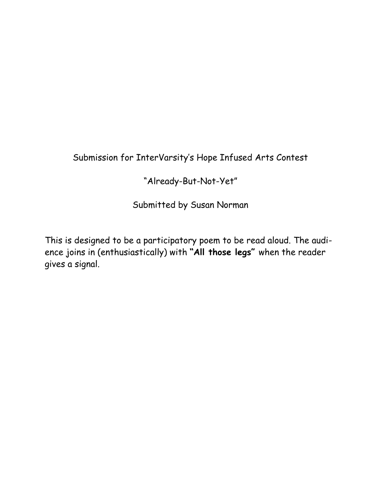## Submission for InterVarsity's Hope Infused Arts Contest

"Already-But-Not-Yet"

Submitted by Susan Norman

This is designed to be a participatory poem to be read aloud. The audience joins in (enthusiastically) with **"All those legs"** when the reader gives a signal.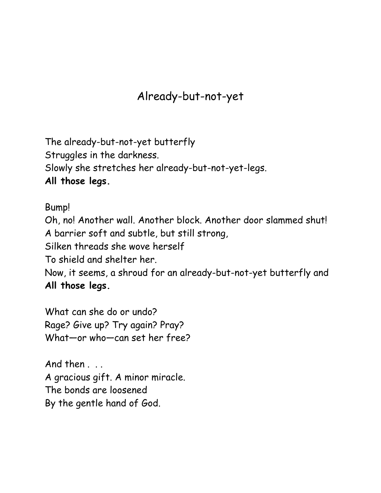## Already-but-not-yet

The already-but-not-yet butterfly Struggles in the darkness. Slowly she stretches her already-but-not-yet-legs. **All those legs.**

Bump!

Oh, no! Another wall. Another block. Another door slammed shut! A barrier soft and subtle, but still strong, Silken threads she wove herself To shield and shelter her. Now, it seems, a shroud for an already-but-not-yet butterfly and

**All those legs.**

What can she do or undo? Rage? Give up? Try again? Pray? What—or who—can set her free?

And then  $\ldots$ A gracious gift. A minor miracle. The bonds are loosened By the gentle hand of God.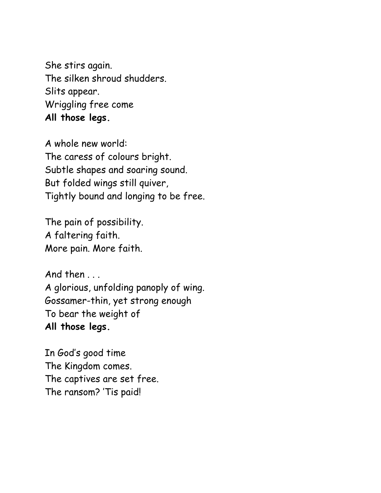She stirs again. The silken shroud shudders. Slits appear. Wriggling free come **All those legs.**

A whole new world: The caress of colours bright. Subtle shapes and soaring sound. But folded wings still quiver, Tightly bound and longing to be free.

The pain of possibility. A faltering faith. More pain. More faith.

And then . . . A glorious, unfolding panoply of wing. Gossamer-thin, yet strong enough To bear the weight of **All those legs.**

In God's good time The Kingdom comes. The captives are set free. The ransom? 'Tis paid!